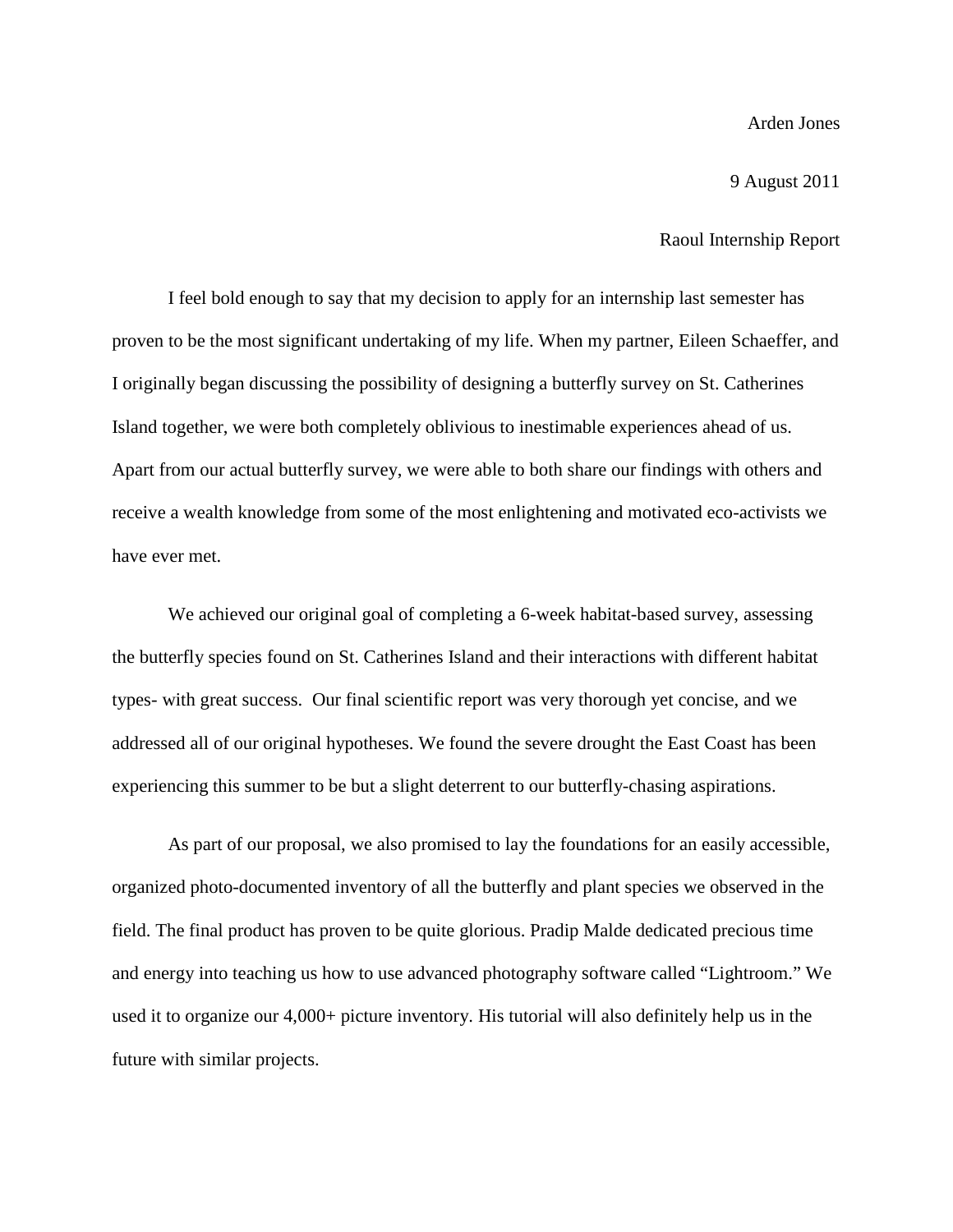Arden Jones

9 August 2011

Raoul Internship Report

I feel bold enough to say that my decision to apply for an internship last semester has proven to be the most significant undertaking of my life. When my partner, Eileen Schaeffer, and I originally began discussing the possibility of designing a butterfly survey on St. Catherines Island together, we were both completely oblivious to inestimable experiences ahead of us. Apart from our actual butterfly survey, we were able to both share our findings with others and receive a wealth knowledge from some of the most enlightening and motivated eco-activists we have ever met.

We achieved our original goal of completing a 6-week habitat-based survey, assessing the butterfly species found on St. Catherines Island and their interactions with different habitat types- with great success. Our final scientific report was very thorough yet concise, and we addressed all of our original hypotheses. We found the severe drought the East Coast has been experiencing this summer to be but a slight deterrent to our butterfly-chasing aspirations.

As part of our proposal, we also promised to lay the foundations for an easily accessible, organized photo-documented inventory of all the butterfly and plant species we observed in the field. The final product has proven to be quite glorious. Pradip Malde dedicated precious time and energy into teaching us how to use advanced photography software called "Lightroom." We used it to organize our 4,000+ picture inventory. His tutorial will also definitely help us in the future with similar projects.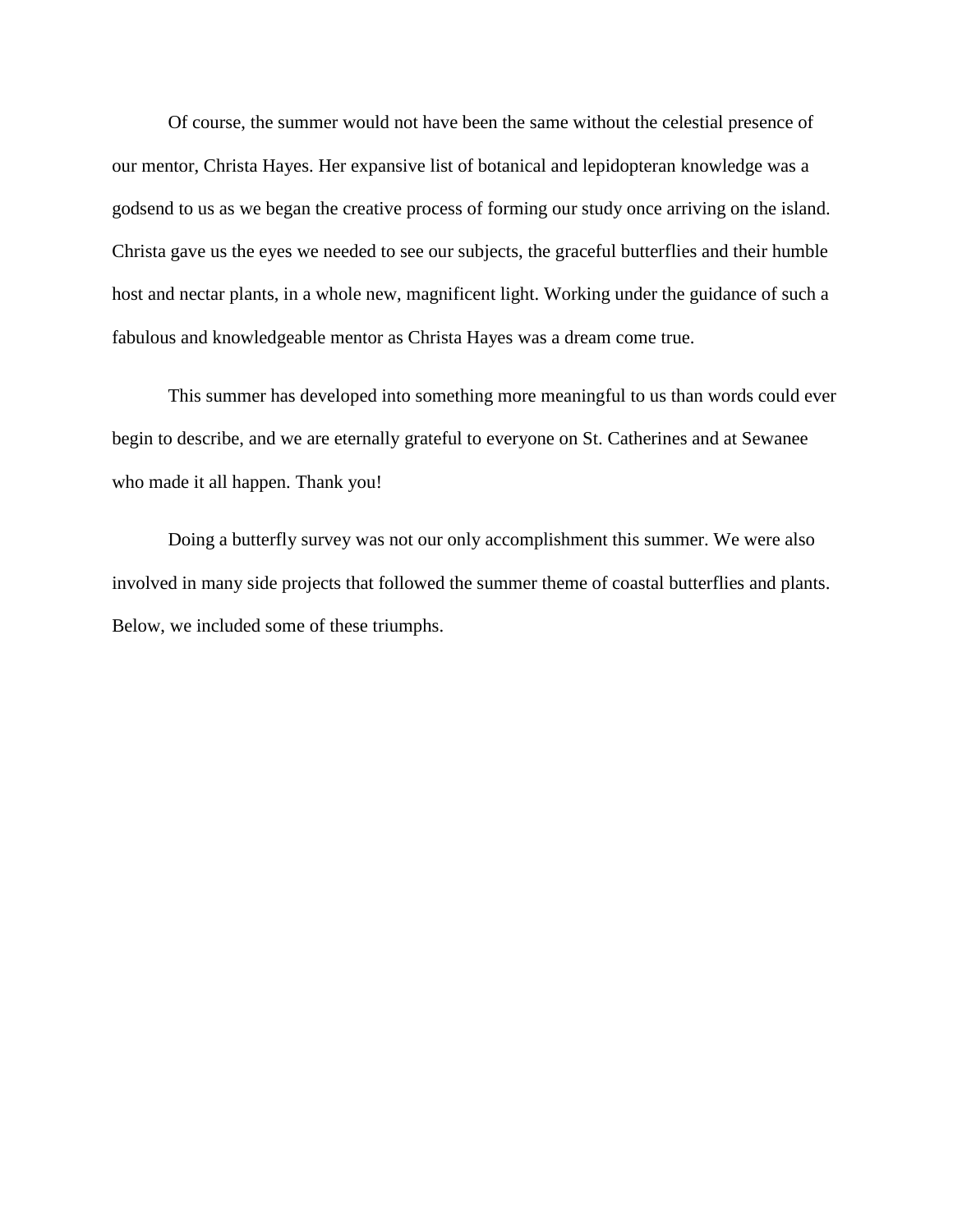Of course, the summer would not have been the same without the celestial presence of our mentor, Christa Hayes. Her expansive list of botanical and lepidopteran knowledge was a godsend to us as we began the creative process of forming our study once arriving on the island. Christa gave us the eyes we needed to see our subjects, the graceful butterflies and their humble host and nectar plants, in a whole new, magnificent light. Working under the guidance of such a fabulous and knowledgeable mentor as Christa Hayes was a dream come true.

This summer has developed into something more meaningful to us than words could ever begin to describe, and we are eternally grateful to everyone on St. Catherines and at Sewanee who made it all happen. Thank you!

Doing a butterfly survey was not our only accomplishment this summer. We were also involved in many side projects that followed the summer theme of coastal butterflies and plants. Below, we included some of these triumphs.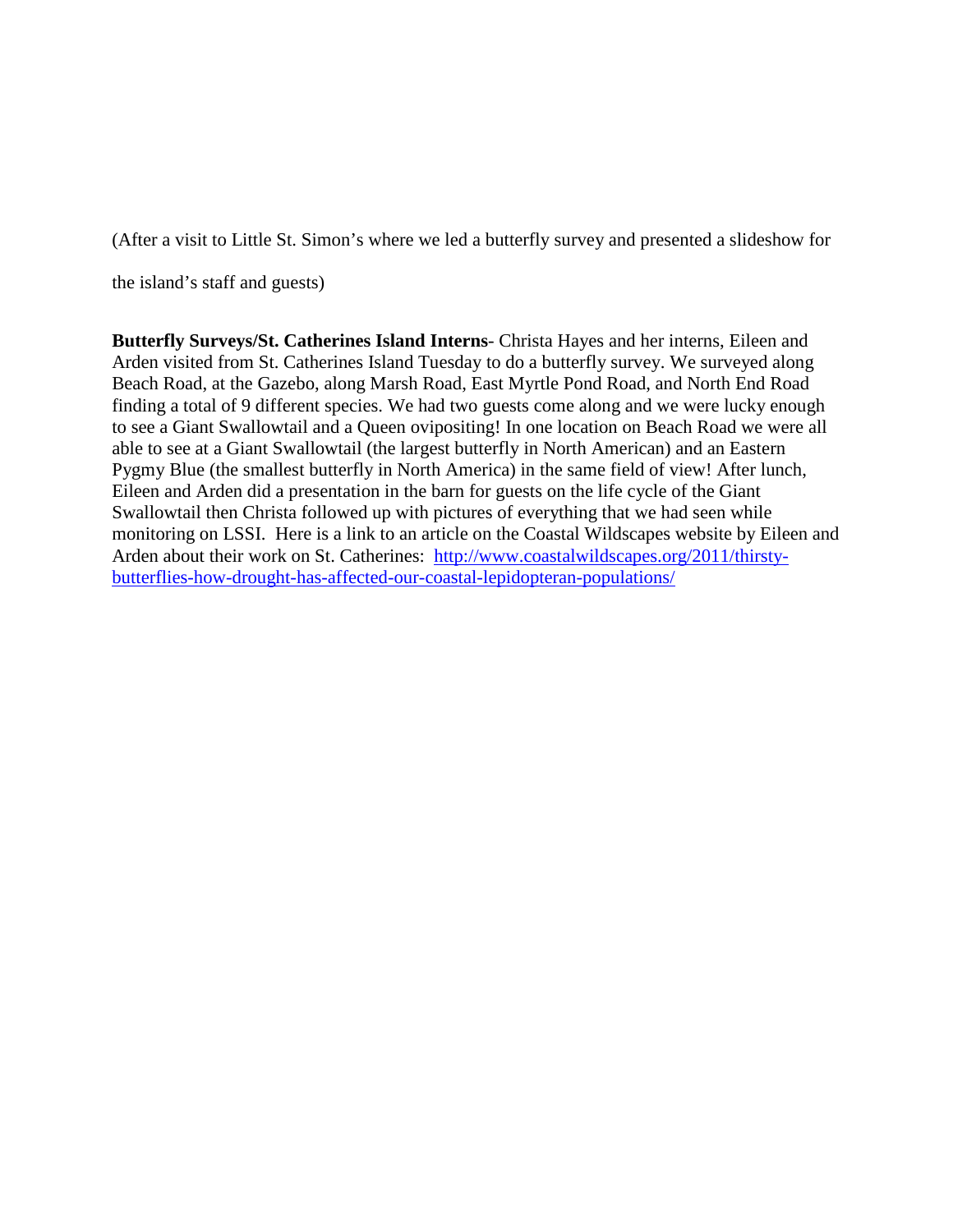(After a visit to Little St. Simon's where we led a butterfly survey and presented a slideshow for

the island's staff and guests)

**Butterfly Surveys/St. Catherines Island Interns**- Christa Hayes and her interns, Eileen and Arden visited from St. Catherines Island Tuesday to do a butterfly survey. We surveyed along Beach Road, at the Gazebo, along Marsh Road, East Myrtle Pond Road, and North End Road finding a total of 9 different species. We had two guests come along and we were lucky enough to see a Giant Swallowtail and a Queen ovipositing! In one location on Beach Road we were all able to see at a Giant Swallowtail (the largest butterfly in North American) and an Eastern Pygmy Blue (the smallest butterfly in North America) in the same field of view! After lunch, Eileen and Arden did a presentation in the barn for guests on the life cycle of the Giant Swallowtail then Christa followed up with pictures of everything that we had seen while monitoring on LSSI. Here is a link to an article on the Coastal Wildscapes website by Eileen and Arden about their work on St. Catherines: [http://www.coastalwildscapes.org/2011/thirsty](http://www.coastalwildscapes.org/2011/thirsty-butterflies-how-drought-has-affected-our-coastal-lepidopteran-populations/)[butterflies-how-drought-has-affected-our-coastal-lepidopteran-populations/](http://www.coastalwildscapes.org/2011/thirsty-butterflies-how-drought-has-affected-our-coastal-lepidopteran-populations/)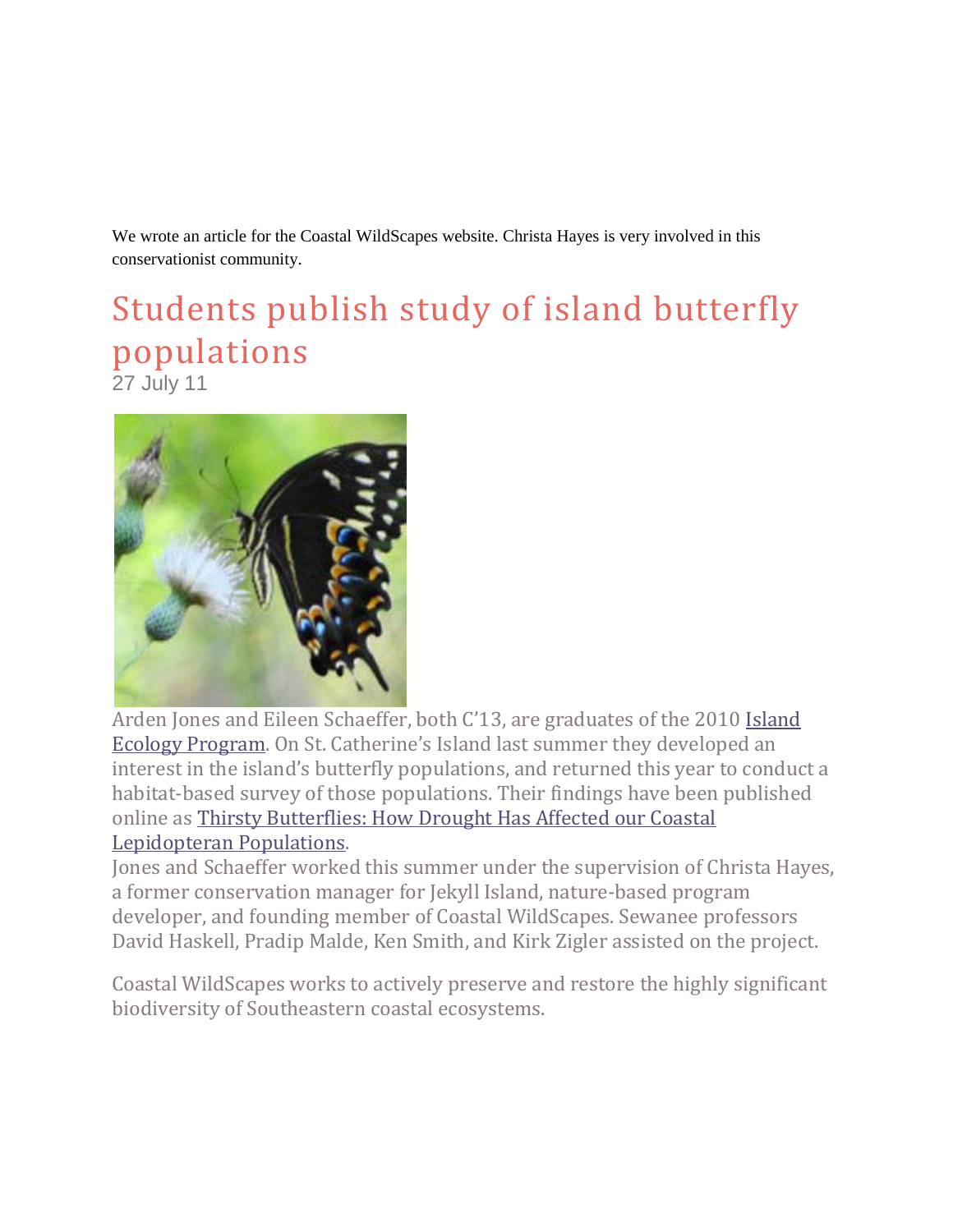We wrote an article for the Coastal WildScapes website. Christa Hayes is very involved in this conservationist community.

## Students publish study of island butterfly populations

27 July 11



Arden Jones and Eileen Schaeffer, both C'13, are graduates of the 2010 [Island](http://news.sewanee.edu/academics/2011/07/11/sewanee)  [Ecology Program.](http://news.sewanee.edu/academics/2011/07/11/sewanee) On St. Catherine's Island last summer they developed an interest in the island's butterfly populations, and returned this year to conduct a habitat-based survey of those populations. Their findings have been published online as [Thirsty Butterflies: How Drought Has Affected our Coastal](http://www.coastalwildscapes.org/2011/thirsty-butterflies-how-drought-has-affected-our-coastal-lepidopteran-populations/)  [Lepidopteran Populations.](http://www.coastalwildscapes.org/2011/thirsty-butterflies-how-drought-has-affected-our-coastal-lepidopteran-populations/)

Jones and Schaeffer worked this summer under the supervision of Christa Hayes, a former conservation manager for Jekyll Island, nature-based program developer, and founding member of Coastal WildScapes. Sewanee professors David Haskell, Pradip Malde, Ken Smith, and Kirk Zigler assisted on the project.

Coastal WildScapes works to actively preserve and restore the highly significant biodiversity of Southeastern coastal ecosystems.